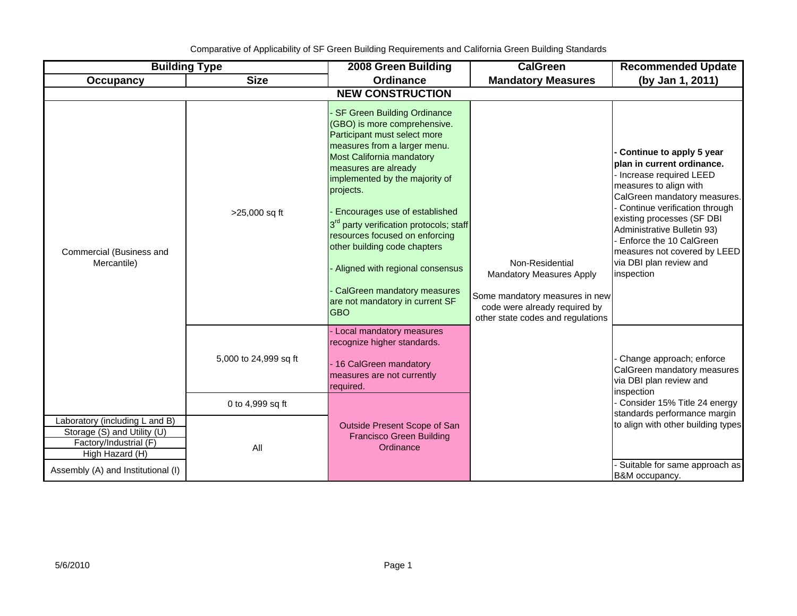Comparative of Applicability of SF Green Building Requirements and California Green Building Standards

| <b>Building Type</b>                                                                                                                             |                                           | 2008 Green Building                                                                                                                                                                                                                                                                                                                                                                                                                                                                                                 | <b>CalGreen</b>                                                                                                                                            | <b>Recommended Update</b>                                                                                                                                                                                                                                                                                                                      |  |  |  |  |  |
|--------------------------------------------------------------------------------------------------------------------------------------------------|-------------------------------------------|---------------------------------------------------------------------------------------------------------------------------------------------------------------------------------------------------------------------------------------------------------------------------------------------------------------------------------------------------------------------------------------------------------------------------------------------------------------------------------------------------------------------|------------------------------------------------------------------------------------------------------------------------------------------------------------|------------------------------------------------------------------------------------------------------------------------------------------------------------------------------------------------------------------------------------------------------------------------------------------------------------------------------------------------|--|--|--|--|--|
| <b>Occupancy</b>                                                                                                                                 | <b>Size</b>                               | <b>Ordinance</b>                                                                                                                                                                                                                                                                                                                                                                                                                                                                                                    | <b>Mandatory Measures</b>                                                                                                                                  | (by Jan 1, 2011)                                                                                                                                                                                                                                                                                                                               |  |  |  |  |  |
| <b>NEW CONSTRUCTION</b>                                                                                                                          |                                           |                                                                                                                                                                                                                                                                                                                                                                                                                                                                                                                     |                                                                                                                                                            |                                                                                                                                                                                                                                                                                                                                                |  |  |  |  |  |
| Commercial (Business and<br>Mercantile)                                                                                                          | >25,000 sq ft                             | <b>SF Green Building Ordinance</b><br>(GBO) is more comprehensive.<br>Participant must select more<br>measures from a larger menu.<br>Most California mandatory<br>measures are already<br>implemented by the majority of<br>projects.<br>Encourages use of established<br>3 <sup>rd</sup> party verification protocols; staff<br>resources focused on enforcing<br>other building code chapters<br>Aligned with regional consensus<br>CalGreen mandatory measures<br>are not mandatory in current SF<br><b>GBO</b> | Non-Residential<br><b>Mandatory Measures Apply</b><br>Some mandatory measures in new<br>code were already required by<br>other state codes and regulations | Continue to apply 5 year<br>plan in current ordinance.<br>- Increase required LEED<br>measures to align with<br>CalGreen mandatory measures.<br>Continue verification through<br>existing processes (SF DBI<br>Administrative Bulletin 93)<br>Enforce the 10 CalGreen<br>measures not covered by LEED<br>via DBI plan review and<br>inspection |  |  |  |  |  |
|                                                                                                                                                  | 5,000 to 24,999 sq ft<br>0 to 4,999 sq ft | Local mandatory measures<br>recognize higher standards.<br>16 CalGreen mandatory<br>measures are not currently<br>required.                                                                                                                                                                                                                                                                                                                                                                                         |                                                                                                                                                            | Change approach; enforce<br>CalGreen mandatory measures<br>via DBI plan review and<br>inspection<br>Consider 15% Title 24 energy                                                                                                                                                                                                               |  |  |  |  |  |
| Laboratory (including L and B)<br>Storage (S) and Utility (U)<br>Factory/Industrial (F)<br>High Hazard (H)<br>Assembly (A) and Institutional (I) | All                                       | Outside Present Scope of San<br><b>Francisco Green Building</b><br>Ordinance                                                                                                                                                                                                                                                                                                                                                                                                                                        |                                                                                                                                                            | standards performance margin<br>to align with other building types<br>Suitable for same approach as<br>B&M occupancy.                                                                                                                                                                                                                          |  |  |  |  |  |